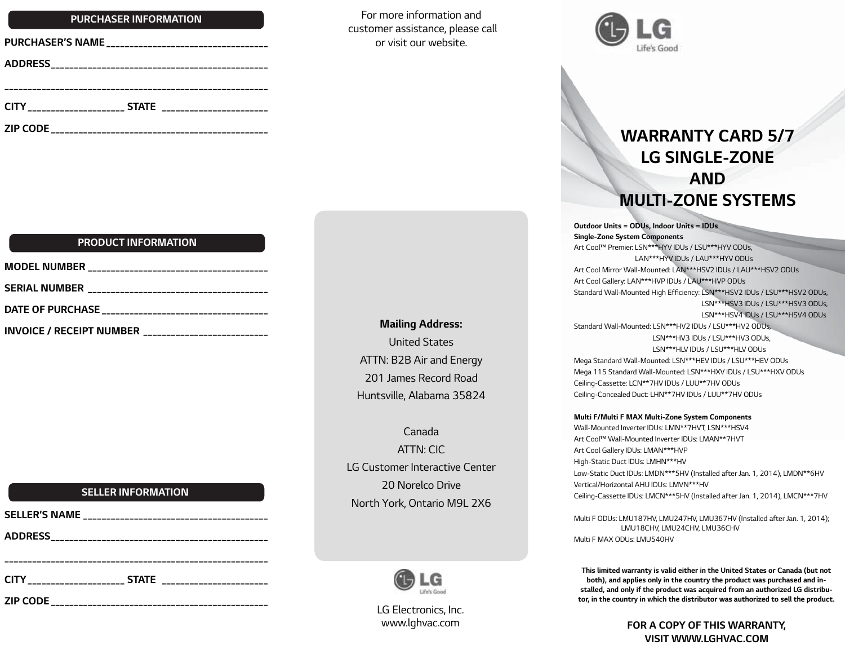### *Purchaser Information*

| <b>PURCHASER'S NAME</b> |  |
|-------------------------|--|
|                         |  |
|                         |  |
|                         |  |
| <b>ZIP CODE</b>         |  |

### *Product Information*

| DATE OF PURCHASE __________________________________                 |  |
|---------------------------------------------------------------------|--|
| <b>INVOICE / RECEIPT NUMBER</b><br>________________________________ |  |

### *Seller Information*

| <b>SELLER'S NAME</b> |  |
|----------------------|--|
|                      |  |
|                      |  |
|                      |  |
|                      |  |

*For more information and customer assistance, please call or visit our website.*



# *Warranty Card 5/7 LG Single-Zone and Multi-Zone SYSTEMS*

*Outdoor Units = ODUs, Indoor Units = IDUs Single-Zone System Components Art Cool™ Premier: LSN\*\*\*HYV IDUs / LSU\*\*\*HYV ODUs, LAN\*\*\*HYV IDUs / LAU\*\*\*HYV ODUs Art Cool Mirror Wall-Mounted: LAN\*\*\*HSV2 IDUs / LAU\*\*\*HSV2 ODUs Art Cool Gallery: LAN\*\*\*HVP IDUs / LAU\*\*\*HVP ODUs* Standard Wall-Mounted High Efficiency: LSN\*\*\*HSV2 IDUs / LSU\*\*\*HSV2 ODUs,  *LSN\*\*\*HSV3 IDUs / LSU\*\*\*HSV3 ODUs, LSN\*\*\*HSV4 IDUs / LSU\*\*\*HSV4 ODUs Standard Wall-Mounted: LSN\*\*\*HV2 IDUs / LSU\*\*\*HV2 ODUs, LSN\*\*\*HV3 IDUs / LSU\*\*\*HV3 ODUs, LSN\*\*\*HLV IDUs / LSU\*\*\*HLV ODUs Mega Standard Wall-Mounted: LSN\*\*\*HEV IDUs / LSU\*\*\*HEV ODUs Mega 115 Standard Wall-Mounted: LSN\*\*\*HXV IDUs / LSU\*\*\*HXV ODUs Ceiling-Cassette: LCN\*\*7HV IDUs / LUU\*\*7HV ODUs Ceiling-Concealed Duct: LHN\*\*7HV IDUs / LUU\*\*7HV ODUs*

#### *Multi F/Multi F MAX Multi-Zone System Components*

*Wall-Mounted Inverter IDUs: LMN\*\*7HVT, LSN\*\*\*HSV4 Art Cool™ Wall-Mounted Inverter IDUs: LMAN\*\*7HVT Art Cool Gallery IDUs: LMAN\*\*\*HVP High-Static Duct IDUs: LMHN\*\*\*HV Low-Static Duct IDUs: LMDN\*\*\*5HV (Installed after Jan. 1, 2014), LMDN\*\*6HV Vertical/Horizontal AHU IDUs: LMVN\*\*\*HV Ceiling-Cassette IDUs: LMCN\*\*\*5HV (Installed after Jan. 1, 2014), LMCN\*\*\*7HV*

*Multi F ODUs: LMU187HV, LMU247HV, LMU367HV (Installed after Jan. 1, 2014); LMU18CHV, LMU24CHV, LMU36CHV Multi F MAX ODUs: LMU540HV*

*This limited warranty is valid either in the United States or Canada (but not both), and applies only in the country the product was purchased and installed, and only if the product was acquired from an authorized LG distributor, in the country in which the distributor was authorized to sell the product.*

> *For a copy of this warranty, visit www.lgHVAC.com*



*Mailing Address: United States ATTN: B2B Air and Energy 201 James Record Road Huntsville, Alabama 35824*

*Canada ATTN: CIC LG Customer Interactive Center 20 Norelco Drive North York, Ontario M9L 2X6*

> *LG Electronics, Inc. www.lghvac.com*